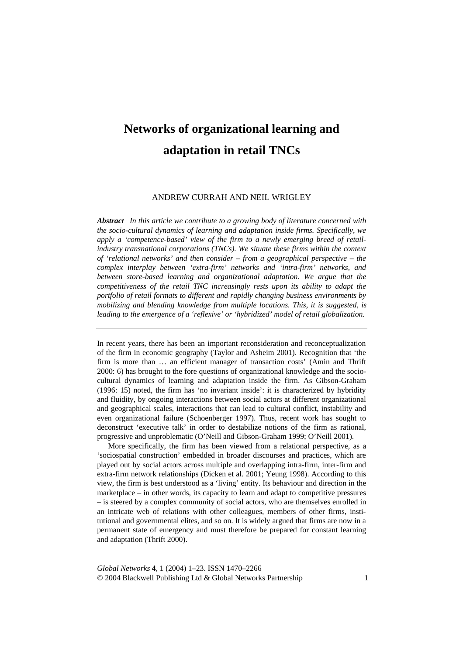# **Networks of organizational learning and adaptation in retail TNCs**

# ANDREW CURRAH AND NEIL WRIGLEY

*Abstract In this article we contribute to a growing body of literature concerned with the socio-cultural dynamics of learning and adaptation inside firms. Specifically, we apply a 'competence-based' view of the firm to a newly emerging breed of retailindustry transnational corporations (TNCs). We situate these firms within the context of 'relational networks' and then consider – from a geographical perspective – the complex interplay between 'extra-firm' networks and 'intra-firm' networks, and between store-based learning and organizational adaptation. We argue that the competitiveness of the retail TNC increasingly rests upon its ability to adapt the portfolio of retail formats to different and rapidly changing business environments by mobilizing and blending knowledge from multiple locations. This, it is suggested, is leading to the emergence of a 'reflexive' or 'hybridized' model of retail globalization.* 

In recent years, there has been an important reconsideration and reconceptualization of the firm in economic geography (Taylor and Asheim 2001). Recognition that 'the firm is more than … an efficient manager of transaction costs' (Amin and Thrift 2000: 6) has brought to the fore questions of organizational knowledge and the sociocultural dynamics of learning and adaptation inside the firm. As Gibson-Graham (1996: 15) noted, the firm has 'no invariant inside': it is characterized by hybridity and fluidity, by ongoing interactions between social actors at different organizational and geographical scales, interactions that can lead to cultural conflict, instability and even organizational failure (Schoenberger 1997). Thus, recent work has sought to deconstruct 'executive talk' in order to destabilize notions of the firm as rational, progressive and unproblematic (O'Neill and Gibson-Graham 1999; O'Neill 2001).

More specifically, the firm has been viewed from a relational perspective, as a 'sociospatial construction' embedded in broader discourses and practices, which are played out by social actors across multiple and overlapping intra-firm, inter-firm and extra-firm network relationships (Dicken et al. 2001; Yeung 1998). According to this view, the firm is best understood as a 'living' entity. Its behaviour and direction in the marketplace – in other words, its capacity to learn and adapt to competitive pressures – is steered by a complex community of social actors, who are themselves enrolled in an intricate web of relations with other colleagues, members of other firms, institutional and governmental elites, and so on. It is widely argued that firms are now in a permanent state of emergency and must therefore be prepared for constant learning and adaptation (Thrift 2000).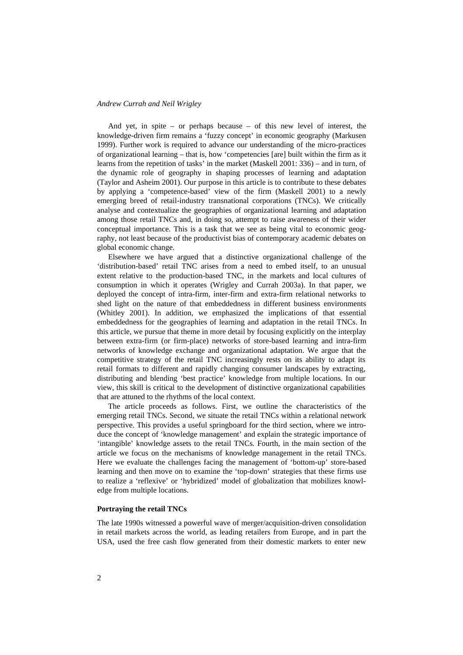And yet, in spite – or perhaps because – of this new level of interest, the knowledge-driven firm remains a 'fuzzy concept' in economic geography (Markusen 1999). Further work is required to advance our understanding of the micro-practices of organizational learning – that is, how 'competencies [are] built within the firm as it learns from the repetition of tasks' in the market (Maskell 2001: 336) – and in turn, of the dynamic role of geography in shaping processes of learning and adaptation (Taylor and Asheim 2001). Our purpose in this article is to contribute to these debates by applying a 'competence-based' view of the firm (Maskell 2001) to a newly emerging breed of retail-industry transnational corporations (TNCs). We critically analyse and contextualize the geographies of organizational learning and adaptation among those retail TNCs and, in doing so, attempt to raise awareness of their wider conceptual importance. This is a task that we see as being vital to economic geography, not least because of the productivist bias of contemporary academic debates on global economic change.

Elsewhere we have argued that a distinctive organizational challenge of the 'distribution-based' retail TNC arises from a need to embed itself, to an unusual extent relative to the production-based TNC, in the markets and local cultures of consumption in which it operates (Wrigley and Currah 2003a). In that paper, we deployed the concept of intra-firm, inter-firm and extra-firm relational networks to shed light on the nature of that embeddedness in different business environments (Whitley 2001). In addition, we emphasized the implications of that essential embeddedness for the geographies of learning and adaptation in the retail TNCs. In this article, we pursue that theme in more detail by focusing explicitly on the interplay between extra-firm (or firm-place) networks of store-based learning and intra-firm networks of knowledge exchange and organizational adaptation. We argue that the competitive strategy of the retail TNC increasingly rests on its ability to adapt its retail formats to different and rapidly changing consumer landscapes by extracting, distributing and blending 'best practice' knowledge from multiple locations. In our view, this skill is critical to the development of distinctive organizational capabilities that are attuned to the rhythms of the local context.

The article proceeds as follows. First, we outline the characteristics of the emerging retail TNCs. Second, we situate the retail TNCs within a relational network perspective. This provides a useful springboard for the third section, where we introduce the concept of 'knowledge management' and explain the strategic importance of 'intangible' knowledge assets to the retail TNCs. Fourth, in the main section of the article we focus on the mechanisms of knowledge management in the retail TNCs. Here we evaluate the challenges facing the management of 'bottom-up' store-based learning and then move on to examine the 'top-down' strategies that these firms use to realize a 'reflexive' or 'hybridized' model of globalization that mobilizes knowledge from multiple locations.

## **Portraying the retail TNCs**

The late 1990s witnessed a powerful wave of merger/acquisition-driven consolidation in retail markets across the world, as leading retailers from Europe, and in part the USA, used the free cash flow generated from their domestic markets to enter new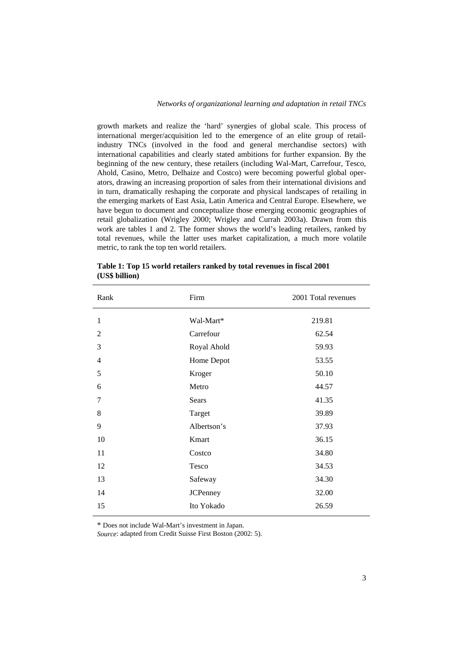growth markets and realize the 'hard' synergies of global scale. This process of international merger/acquisition led to the emergence of an elite group of retailindustry TNCs (involved in the food and general merchandise sectors) with international capabilities and clearly stated ambitions for further expansion. By the beginning of the new century, these retailers (including Wal-Mart, Carrefour, Tesco, Ahold, Casino, Metro, Delhaize and Costco) were becoming powerful global operators, drawing an increasing proportion of sales from their international divisions and in turn, dramatically reshaping the corporate and physical landscapes of retailing in the emerging markets of East Asia, Latin America and Central Europe. Elsewhere, we have begun to document and conceptualize those emerging economic geographies of retail globalization (Wrigley 2000; Wrigley and Currah 2003a). Drawn from this work are tables 1 and 2. The former shows the world's leading retailers, ranked by total revenues, while the latter uses market capitalization, a much more volatile metric, to rank the top ten world retailers.

| Rank           | Firm            | 2001 Total revenues |  |
|----------------|-----------------|---------------------|--|
| $\mathbf{1}$   | Wal-Mart*       | 219.81              |  |
| $\overline{2}$ | Carrefour       | 62.54               |  |
| 3              | Royal Ahold     | 59.93               |  |
| $\overline{4}$ | Home Depot      | 53.55               |  |
| 5              | Kroger          | 50.10               |  |
| 6              | Metro           | 44.57               |  |
| 7              | Sears           | 41.35               |  |
| 8              | Target          | 39.89               |  |
| 9              | Albertson's     | 37.93               |  |
| 10             | Kmart           | 36.15               |  |
| 11             | Costco          | 34.80               |  |
| 12             | Tesco           | 34.53               |  |
| 13             | Safeway         | 34.30               |  |
| 14             | <b>JCPenney</b> | 32.00               |  |
| 15             | Ito Yokado      | 26.59               |  |

**Table 1: Top 15 world retailers ranked by total revenues in fiscal 2001 (US\$ billion)** 

\* Does not include Wal-Mart's investment in Japan.

*Source*: adapted from Credit Suisse First Boston (2002: 5).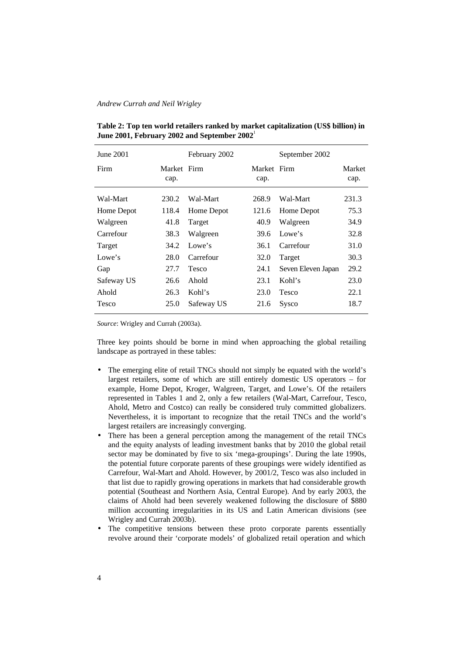| June 2001  |                     | February 2002 |                     | September 2002     |                |
|------------|---------------------|---------------|---------------------|--------------------|----------------|
| Firm       | Market Firm<br>cap. |               | Market Firm<br>cap. |                    | Market<br>cap. |
| Wal-Mart   | 230.2               | Wal-Mart      | 268.9               | Wal-Mart           | 231.3          |
| Home Depot | 118.4               | Home Depot    | 121.6               | Home Depot         | 75.3           |
| Walgreen   | 41.8                | Target        | 40.9                | Walgreen           | 34.9           |
| Carrefour  | 38.3                | Walgreen      | 39.6                | Lowe's             | 32.8           |
| Target     | 34.2                | Lowe's        | 36.1                | Carrefour          | 31.0           |
| Lowe's     | 28.0                | Carrefour     | 32.0                | Target             | 30.3           |
| Gap        | 27.7                | <b>Tesco</b>  | 24.1                | Seven Eleven Japan | 29.2           |
| Safeway US | 26.6                | Ahold         | 23.1                | Kohl's             | 23.0           |
| Ahold      | 26.3                | Kohl's        | 23.0                | <b>Tesco</b>       | 22.1           |
| Tesco      | 25.0                | Safeway US    | 21.6                | Sysco              | 18.7           |

**Table 2: Top ten world retailers ranked by market capitalization (US\$ billion) in June 2001, February 2002 and September 2002**<sup>1</sup>

*Source*: Wrigley and Currah (2003a).

Three key points should be borne in mind when approaching the global retailing landscape as portrayed in these tables:

- The emerging elite of retail TNCs should not simply be equated with the world's largest retailers, some of which are still entirely domestic US operators – for example, Home Depot, Kroger, Walgreen, Target, and Lowe's. Of the retailers represented in Tables 1 and 2, only a few retailers (Wal-Mart, Carrefour, Tesco, Ahold, Metro and Costco) can really be considered truly committed globalizers. Nevertheless, it is important to recognize that the retail TNCs and the world's largest retailers are increasingly converging.
- There has been a general perception among the management of the retail TNCs and the equity analysts of leading investment banks that by 2010 the global retail sector may be dominated by five to six 'mega-groupings'. During the late 1990s, the potential future corporate parents of these groupings were widely identified as Carrefour, Wal-Mart and Ahold. However, by 2001/2, Tesco was also included in that list due to rapidly growing operations in markets that had considerable growth potential (Southeast and Northern Asia, Central Europe). And by early 2003, the claims of Ahold had been severely weakened following the disclosure of \$880 million accounting irregularities in its US and Latin American divisions (see Wrigley and Currah 2003b).
- The competitive tensions between these proto corporate parents essentially revolve around their 'corporate models' of globalized retail operation and which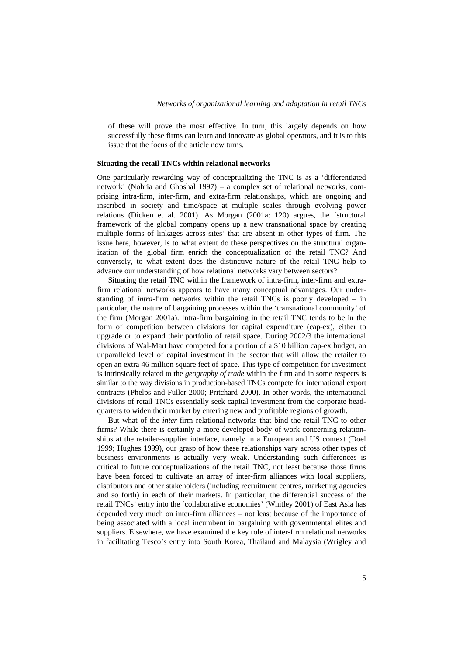of these will prove the most effective. In turn, this largely depends on how successfully these firms can learn and innovate as global operators, and it is to this issue that the focus of the article now turns.

## **Situating the retail TNCs within relational networks**

One particularly rewarding way of conceptualizing the TNC is as a 'differentiated network' (Nohria and Ghoshal 1997) – a complex set of relational networks, comprising intra-firm, inter-firm, and extra-firm relationships, which are ongoing and inscribed in society and time/space at multiple scales through evolving power relations (Dicken et al. 2001). As Morgan (2001a: 120) argues, the 'structural framework of the global company opens up a new transnational space by creating multiple forms of linkages across sites' that are absent in other types of firm. The issue here, however, is to what extent do these perspectives on the structural organization of the global firm enrich the conceptualization of the retail TNC? And conversely, to what extent does the distinctive nature of the retail TNC help to advance our understanding of how relational networks vary between sectors?

Situating the retail TNC within the framework of intra-firm, inter-firm and extrafirm relational networks appears to have many conceptual advantages. Our understanding of *intra*-firm networks within the retail TNCs is poorly developed – in particular, the nature of bargaining processes within the 'transnational community' of the firm (Morgan 2001a). Intra-firm bargaining in the retail TNC tends to be in the form of competition between divisions for capital expenditure (cap-ex), either to upgrade or to expand their portfolio of retail space. During 2002/3 the international divisions of Wal-Mart have competed for a portion of a \$10 billion cap-ex budget, an unparalleled level of capital investment in the sector that will allow the retailer to open an extra 46 million square feet of space. This type of competition for investment is intrinsically related to the *geography of trade* within the firm and in some respects is similar to the way divisions in production-based TNCs compete for international export contracts (Phelps and Fuller 2000; Pritchard 2000). In other words, the international divisions of retail TNCs essentially seek capital investment from the corporate headquarters to widen their market by entering new and profitable regions of growth.

But what of the *inter*-firm relational networks that bind the retail TNC to other firms? While there is certainly a more developed body of work concerning relationships at the retailer–supplier interface, namely in a European and US context (Doel 1999; Hughes 1999), our grasp of how these relationships vary across other types of business environments is actually very weak. Understanding such differences is critical to future conceptualizations of the retail TNC, not least because those firms have been forced to cultivate an array of inter-firm alliances with local suppliers, distributors and other stakeholders (including recruitment centres, marketing agencies and so forth) in each of their markets. In particular, the differential success of the retail TNCs' entry into the 'collaborative economies' (Whitley 2001) of East Asia has depended very much on inter-firm alliances – not least because of the importance of being associated with a local incumbent in bargaining with governmental elites and suppliers. Elsewhere, we have examined the key role of inter-firm relational networks in facilitating Tesco's entry into South Korea, Thailand and Malaysia (Wrigley and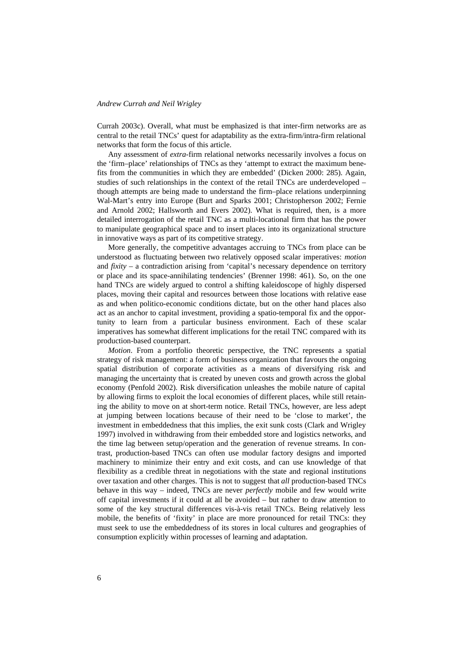Currah 2003c). Overall, what must be emphasized is that inter-firm networks are as central to the retail TNCs' quest for adaptability as the extra-firm/intra-firm relational networks that form the focus of this article.

Any assessment of *extra*-firm relational networks necessarily involves a focus on the 'firm–place' relationships of TNCs as they 'attempt to extract the maximum benefits from the communities in which they are embedded' (Dicken 2000: 285). Again, studies of such relationships in the context of the retail TNCs are underdeveloped – though attempts are being made to understand the firm–place relations underpinning Wal-Mart's entry into Europe (Burt and Sparks 2001; Christopherson 2002; Fernie and Arnold 2002; Hallsworth and Evers 2002). What is required, then, is a more detailed interrogation of the retail TNC as a multi-locational firm that has the power to manipulate geographical space and to insert places into its organizational structure in innovative ways as part of its competitive strategy.

More generally, the competitive advantages accruing to TNCs from place can be understood as fluctuating between two relatively opposed scalar imperatives: *motion* and *fixity* – a contradiction arising from 'capital's necessary dependence on territory or place and its space-annihilating tendencies' (Brenner 1998: 461). So, on the one hand TNCs are widely argued to control a shifting kaleidoscope of highly dispersed places, moving their capital and resources between those locations with relative ease as and when politico-economic conditions dictate, but on the other hand places also act as an anchor to capital investment, providing a spatio-temporal fix and the opportunity to learn from a particular business environment. Each of these scalar imperatives has somewhat different implications for the retail TNC compared with its production-based counterpart.

*Motion*. From a portfolio theoretic perspective, the TNC represents a spatial strategy of risk management: a form of business organization that favours the ongoing spatial distribution of corporate activities as a means of diversifying risk and managing the uncertainty that is created by uneven costs and growth across the global economy (Penfold 2002). Risk diversification unleashes the mobile nature of capital by allowing firms to exploit the local economies of different places, while still retaining the ability to move on at short-term notice. Retail TNCs, however, are less adept at jumping between locations because of their need to be 'close to market', the investment in embeddedness that this implies, the exit sunk costs (Clark and Wrigley 1997) involved in withdrawing from their embedded store and logistics networks, and the time lag between setup/operation and the generation of revenue streams. In contrast, production-based TNCs can often use modular factory designs and imported machinery to minimize their entry and exit costs, and can use knowledge of that flexibility as a credible threat in negotiations with the state and regional institutions over taxation and other charges. This is not to suggest that *all* production-based TNCs behave in this way – indeed, TNCs are never *perfectly* mobile and few would write off capital investments if it could at all be avoided – but rather to draw attention to some of the key structural differences vis-à-vis retail TNCs. Being relatively less mobile, the benefits of 'fixity' in place are more pronounced for retail TNCs: they must seek to use the embeddedness of its stores in local cultures and geographies of consumption explicitly within processes of learning and adaptation.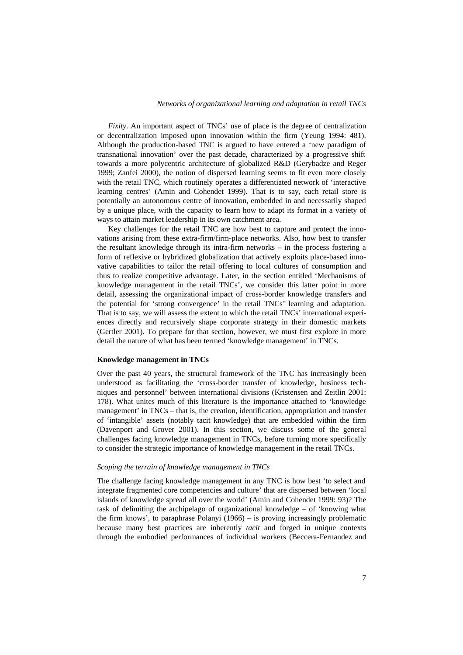*Fixity*. An important aspect of TNCs' use of place is the degree of centralization or decentralization imposed upon innovation within the firm (Yeung 1994: 481). Although the production-based TNC is argued to have entered a 'new paradigm of transnational innovation' over the past decade, characterized by a progressive shift towards a more polycentric architecture of globalized R&D (Gerybadze and Reger 1999; Zanfei 2000), the notion of dispersed learning seems to fit even more closely with the retail TNC, which routinely operates a differentiated network of 'interactive learning centres' (Amin and Cohendet 1999). That is to say, each retail store is potentially an autonomous centre of innovation, embedded in and necessarily shaped by a unique place, with the capacity to learn how to adapt its format in a variety of ways to attain market leadership in its own catchment area.

Key challenges for the retail TNC are how best to capture and protect the innovations arising from these extra-firm/firm-place networks. Also, how best to transfer the resultant knowledge through its intra-firm networks – in the process fostering a form of reflexive or hybridized globalization that actively exploits place-based innovative capabilities to tailor the retail offering to local cultures of consumption and thus to realize competitive advantage. Later, in the section entitled 'Mechanisms of knowledge management in the retail TNCs', we consider this latter point in more detail, assessing the organizational impact of cross-border knowledge transfers and the potential for 'strong convergence' in the retail TNCs' learning and adaptation. That is to say, we will assess the extent to which the retail TNCs' international experiences directly and recursively shape corporate strategy in their domestic markets (Gertler 2001). To prepare for that section, however, we must first explore in more detail the nature of what has been termed 'knowledge management' in TNCs.

## **Knowledge management in TNCs**

Over the past 40 years, the structural framework of the TNC has increasingly been understood as facilitating the 'cross-border transfer of knowledge, business techniques and personnel' between international divisions (Kristensen and Zeitlin 2001: 178). What unites much of this literature is the importance attached to 'knowledge management' in TNCs – that is, the creation, identification, appropriation and transfer of 'intangible' assets (notably tacit knowledge) that are embedded within the firm (Davenport and Grover 2001). In this section, we discuss some of the general challenges facing knowledge management in TNCs, before turning more specifically to consider the strategic importance of knowledge management in the retail TNCs.

## *Scoping the terrain of knowledge management in TNCs*

The challenge facing knowledge management in any TNC is how best 'to select and integrate fragmented core competencies and culture' that are dispersed between 'local islands of knowledge spread all over the world' (Amin and Cohendet 1999: 93)? The task of delimiting the archipelago of organizational knowledge – of 'knowing what the firm knows', to paraphrase Polanyi (1966) – is proving increasingly problematic because many best practices are inherently *tacit* and forged in unique contexts through the embodied performances of individual workers (Beccera-Fernandez and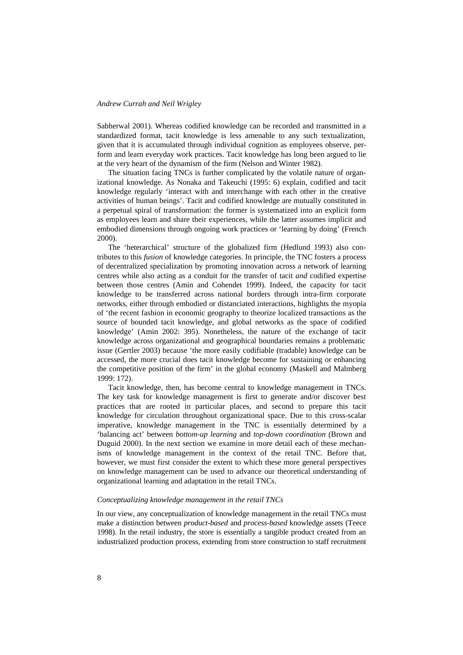Sabherwal 2001). Whereas codified knowledge can be recorded and transmitted in a standardized format, tacit knowledge is less amenable to any such textualization, given that it is accumulated through individual cognition as employees observe, perform and learn everyday work practices. Tacit knowledge has long been argued to lie at the very heart of the dynamism of the firm (Nelson and Winter 1982).

The situation facing TNCs is further complicated by the volatile nature of organizational knowledge. As Nonaka and Takeuchi (1995: 6) explain, codified and tacit knowledge regularly 'interact with and interchange with each other in the creative activities of human beings'. Tacit and codified knowledge are mutually constituted in a perpetual spiral of transformation: the former is systematized into an explicit form as employees learn and share their experiences, while the latter assumes implicit and embodied dimensions through ongoing work practices or 'learning by doing' (French 2000).

The 'heterarchical' structure of the globalized firm (Hedlund 1993) also contributes to this *fusion* of knowledge categories. In principle, the TNC fosters a process of decentralized specialization by promoting innovation across a network of learning centres while also acting as a conduit for the transfer of tacit *and* codified expertise between those centres (Amin and Cohendet 1999). Indeed, the capacity for tacit knowledge to be transferred across national borders through intra-firm corporate networks, either through embodied or distanciated interactions, highlights the myopia of 'the recent fashion in economic geography to theorize localized transactions as the source of bounded tacit knowledge, and global networks as the space of codified knowledge' (Amin 2002: 395). Nonetheless, the nature of the exchange of tacit knowledge across organizational and geographical boundaries remains a problematic issue (Gertler 2003) because 'the more easily codifiable (tradable) knowledge can be accessed, the more crucial does tacit knowledge become for sustaining or enhancing the competitive position of the firm' in the global economy (Maskell and Malmberg 1999: 172).

Tacit knowledge, then, has become central to knowledge management in TNCs. The key task for knowledge management is first to generate and/or discover best practices that are rooted in particular places, and second to prepare this tacit knowledge for circulation throughout organizational space. Due to this cross-scalar imperative, knowledge management in the TNC is essentially determined by a 'balancing act' between *bottom-up learning* and *top-down coordination* (Brown and Duguid 2000). In the next section we examine in more detail each of these mechanisms of knowledge management in the context of the retail TNC. Before that, however, we must first consider the extent to which these more general perspectives on knowledge management can be used to advance our theoretical understanding of organizational learning and adaptation in the retail TNCs.

## *Conceptualizing knowledge management in the retail TNCs*

In our view, any conceptualization of knowledge management in the retail TNCs must make a distinction between *product-based* and *process-based* knowledge assets (Teece 1998). In the retail industry, the store is essentially a tangible product created from an industrialized production process, extending from store construction to staff recruitment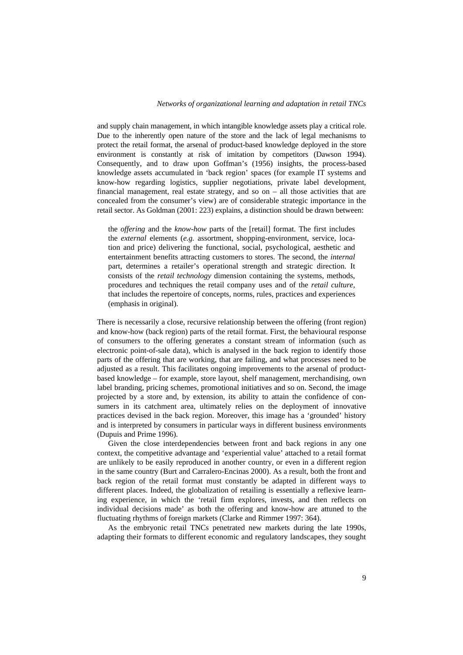## *Networks of organizational learning and adaptation in retail TNCs*

and supply chain management, in which intangible knowledge assets play a critical role. Due to the inherently open nature of the store and the lack of legal mechanisms to protect the retail format, the arsenal of product-based knowledge deployed in the store environment is constantly at risk of imitation by competitors (Dawson 1994). Consequently, and to draw upon Goffman's (1956) insights, the process-based knowledge assets accumulated in 'back region' spaces (for example IT systems and know-how regarding logistics, supplier negotiations, private label development, financial management, real estate strategy, and so on  $-$  all those activities that are concealed from the consumer's view) are of considerable strategic importance in the retail sector. As Goldman (2001: 223) explains, a distinction should be drawn between:

the *offering* and the *know-how* parts of the [retail] format. The first includes the *external* elements (*e.g.* assortment, shopping-environment, service, location and price) delivering the functional, social, psychological, aesthetic and entertainment benefits attracting customers to stores. The second, the *internal* part, determines a retailer's operational strength and strategic direction. It consists of the *retail technology* dimension containing the systems, methods, procedures and techniques the retail company uses and of the *retail culture*, that includes the repertoire of concepts, norms, rules, practices and experiences (emphasis in original).

There is necessarily a close, recursive relationship between the offering (front region) and know-how (back region) parts of the retail format. First, the behavioural response of consumers to the offering generates a constant stream of information (such as electronic point-of-sale data), which is analysed in the back region to identify those parts of the offering that are working, that are failing, and what processes need to be adjusted as a result. This facilitates ongoing improvements to the arsenal of productbased knowledge – for example, store layout, shelf management, merchandising, own label branding, pricing schemes, promotional initiatives and so on. Second, the image projected by a store and, by extension, its ability to attain the confidence of consumers in its catchment area, ultimately relies on the deployment of innovative practices devised in the back region. Moreover, this image has a 'grounded' history and is interpreted by consumers in particular ways in different business environments (Dupuis and Prime 1996).

Given the close interdependencies between front and back regions in any one context, the competitive advantage and 'experiential value' attached to a retail format are unlikely to be easily reproduced in another country, or even in a different region in the same country (Burt and Carralero-Encinas 2000). As a result, both the front and back region of the retail format must constantly be adapted in different ways to different places. Indeed, the globalization of retailing is essentially a reflexive learning experience, in which the 'retail firm explores, invests, and then reflects on individual decisions made' as both the offering and know-how are attuned to the fluctuating rhythms of foreign markets (Clarke and Rimmer 1997: 364).

As the embryonic retail TNCs penetrated new markets during the late 1990s, adapting their formats to different economic and regulatory landscapes, they sought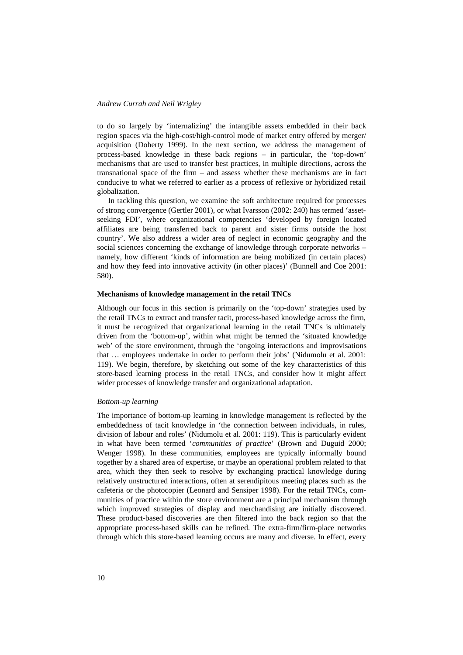to do so largely by 'internalizing' the intangible assets embedded in their back region spaces via the high-cost/high-control mode of market entry offered by merger/ acquisition (Doherty 1999). In the next section, we address the management of process-based knowledge in these back regions – in particular, the 'top-down' mechanisms that are used to transfer best practices, in multiple directions, across the transnational space of the firm – and assess whether these mechanisms are in fact conducive to what we referred to earlier as a process of reflexive or hybridized retail globalization.

In tackling this question, we examine the soft architecture required for processes of strong convergence (Gertler 2001), or what Ivarsson (2002: 240) has termed 'assetseeking FDI', where organizational competencies 'developed by foreign located affiliates are being transferred back to parent and sister firms outside the host country'. We also address a wider area of neglect in economic geography and the social sciences concerning the exchange of knowledge through corporate networks – namely, how different 'kinds of information are being mobilized (in certain places) and how they feed into innovative activity (in other places)' (Bunnell and Coe 2001: 580).

## **Mechanisms of knowledge management in the retail TNCs**

Although our focus in this section is primarily on the 'top-down' strategies used by the retail TNCs to extract and transfer tacit, process-based knowledge across the firm, it must be recognized that organizational learning in the retail TNCs is ultimately driven from the 'bottom-up', within what might be termed the 'situated knowledge web' of the store environment, through the 'ongoing interactions and improvisations that … employees undertake in order to perform their jobs' (Nidumolu et al. 2001: 119). We begin, therefore, by sketching out some of the key characteristics of this store-based learning process in the retail TNCs, and consider how it might affect wider processes of knowledge transfer and organizational adaptation.

#### *Bottom-up learning*

The importance of bottom-up learning in knowledge management is reflected by the embeddedness of tacit knowledge in 'the connection between individuals, in rules, division of labour and roles' (Nidumolu et al. 2001: 119). This is particularly evident in what have been termed '*communities of practice*' (Brown and Duguid 2000; Wenger 1998). In these communities, employees are typically informally bound together by a shared area of expertise, or maybe an operational problem related to that area, which they then seek to resolve by exchanging practical knowledge during relatively unstructured interactions, often at serendipitous meeting places such as the cafeteria or the photocopier (Leonard and Sensiper 1998). For the retail TNCs, communities of practice within the store environment are a principal mechanism through which improved strategies of display and merchandising are initially discovered. These product-based discoveries are then filtered into the back region so that the appropriate process-based skills can be refined. The extra-firm/firm-place networks through which this store-based learning occurs are many and diverse. In effect, every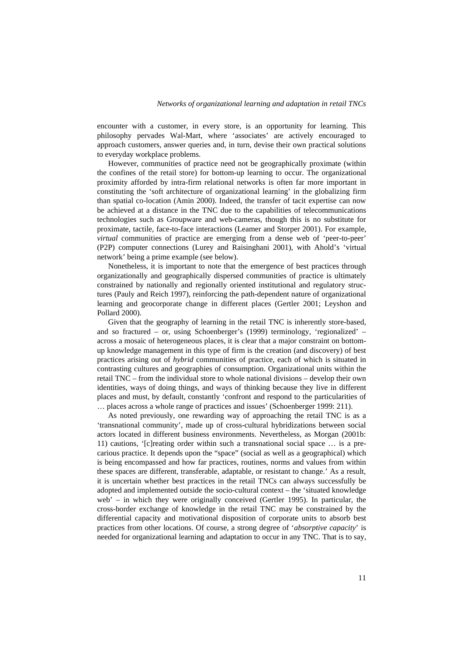encounter with a customer, in every store, is an opportunity for learning. This philosophy pervades Wal-Mart, where 'associates' are actively encouraged to approach customers, answer queries and, in turn, devise their own practical solutions to everyday workplace problems.

However, communities of practice need not be geographically proximate (within the confines of the retail store) for bottom-up learning to occur. The organizational proximity afforded by intra-firm relational networks is often far more important in constituting the 'soft architecture of organizational learning' in the globalizing firm than spatial co-location (Amin 2000). Indeed, the transfer of tacit expertise can now be achieved at a distance in the TNC due to the capabilities of telecommunications technologies such as Groupware and web-cameras, though this is no substitute for proximate, tactile, face-to-face interactions (Leamer and Storper 2001). For example, *virtual* communities of practice are emerging from a dense web of 'peer-to-peer' (P2P) computer connections (Lurey and Raisinghani 2001), with Ahold's 'virtual network' being a prime example (see below).

Nonetheless, it is important to note that the emergence of best practices through organizationally and geographically dispersed communities of practice is ultimately constrained by nationally and regionally oriented institutional and regulatory structures (Pauly and Reich 1997), reinforcing the path-dependent nature of organizational learning and geocorporate change in different places (Gertler 2001; Leyshon and Pollard 2000).

Given that the geography of learning in the retail TNC is inherently store-based, and so fractured – or, using Schoenberger's (1999) terminology, 'regionalized' – across a mosaic of heterogeneous places, it is clear that a major constraint on bottomup knowledge management in this type of firm is the creation (and discovery) of best practices arising out of *hybrid* communities of practice, each of which is situated in contrasting cultures and geographies of consumption. Organizational units within the retail TNC – from the individual store to whole national divisions – develop their own identities, ways of doing things, and ways of thinking because they live in different places and must, by default, constantly 'confront and respond to the particularities of … places across a whole range of practices and issues' (Schoenberger 1999: 211).

As noted previously, one rewarding way of approaching the retail TNC is as a 'transnational community', made up of cross-cultural hybridizations between social actors located in different business environments. Nevertheless, as Morgan (2001b: 11) cautions, '[c]reating order within such a transnational social space … is a precarious practice. It depends upon the "space" (social as well as a geographical) which is being encompassed and how far practices, routines, norms and values from within these spaces are different, transferable, adaptable, or resistant to change.' As a result, it is uncertain whether best practices in the retail TNCs can always successfully be adopted and implemented outside the socio-cultural context – the 'situated knowledge web' – in which they were originally conceived (Gertler 1995). In particular, the cross-border exchange of knowledge in the retail TNC may be constrained by the differential capacity and motivational disposition of corporate units to absorb best practices from other locations. Of course, a strong degree of '*absorptive capacity*' is needed for organizational learning and adaptation to occur in any TNC. That is to say,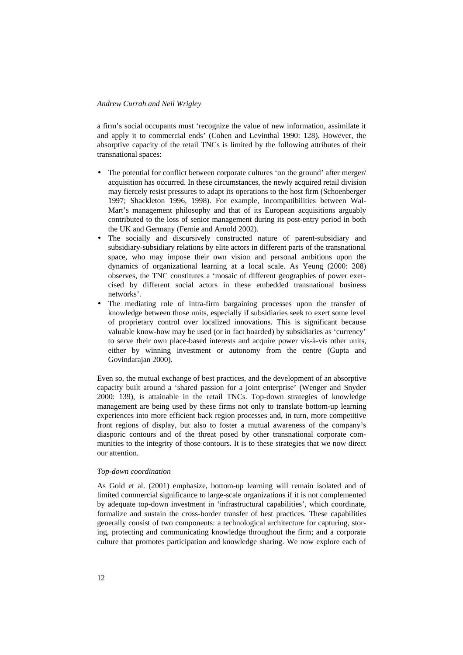a firm's social occupants must 'recognize the value of new information, assimilate it and apply it to commercial ends' (Cohen and Levinthal 1990: 128). However, the absorptive capacity of the retail TNCs is limited by the following attributes of their transnational spaces:

- The potential for conflict between corporate cultures 'on the ground' after merger/ acquisition has occurred. In these circumstances, the newly acquired retail division may fiercely resist pressures to adapt its operations to the host firm (Schoenberger 1997; Shackleton 1996, 1998). For example, incompatibilities between Wal-Mart's management philosophy and that of its European acquisitions arguably contributed to the loss of senior management during its post-entry period in both the UK and Germany (Fernie and Arnold 2002).
- The socially and discursively constructed nature of parent-subsidiary and subsidiary-subsidiary relations by elite actors in different parts of the transnational space, who may impose their own vision and personal ambitions upon the dynamics of organizational learning at a local scale. As Yeung (2000: 208) observes, the TNC constitutes a 'mosaic of different geographies of power exercised by different social actors in these embedded transnational business networks'.
- The mediating role of intra-firm bargaining processes upon the transfer of knowledge between those units, especially if subsidiaries seek to exert some level of proprietary control over localized innovations. This is significant because valuable know-how may be used (or in fact hoarded) by subsidiaries as 'currency' to serve their own place-based interests and acquire power vis-à-vis other units, either by winning investment or autonomy from the centre (Gupta and Govindarajan 2000).

Even so, the mutual exchange of best practices, and the development of an absorptive capacity built around a 'shared passion for a joint enterprise' (Wenger and Snyder 2000: 139), is attainable in the retail TNCs. Top-down strategies of knowledge management are being used by these firms not only to translate bottom-up learning experiences into more efficient back region processes and, in turn, more competitive front regions of display, but also to foster a mutual awareness of the company's diasporic contours and of the threat posed by other transnational corporate communities to the integrity of those contours. It is to these strategies that we now direct our attention.

## *Top-down coordination*

As Gold et al. (2001) emphasize, bottom-up learning will remain isolated and of limited commercial significance to large-scale organizations if it is not complemented by adequate top-down investment in 'infrastructural capabilities', which coordinate, formalize and sustain the cross-border transfer of best practices. These capabilities generally consist of two components: a technological architecture for capturing, storing, protecting and communicating knowledge throughout the firm; and a corporate culture that promotes participation and knowledge sharing. We now explore each of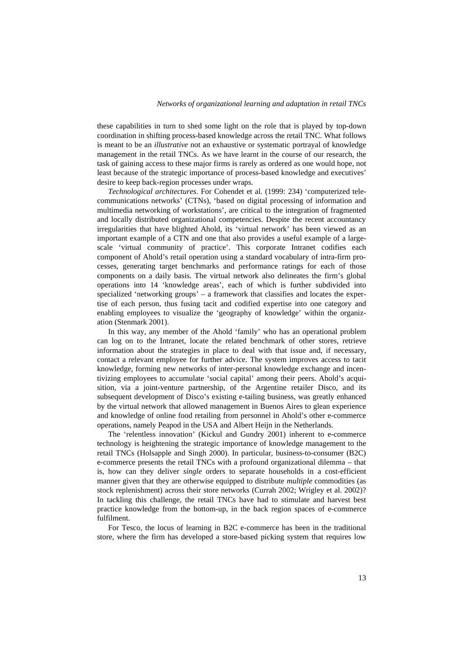these capabilities in turn to shed some light on the role that is played by top-down coordination in shifting process-based knowledge across the retail TNC. What follows is meant to be an *illustrative* not an exhaustive or systematic portrayal of knowledge management in the retail TNCs. As we have learnt in the course of our research, the task of gaining access to these major firms is rarely as ordered as one would hope, not least because of the strategic importance of process-based knowledge and executives' desire to keep back-region processes under wraps.

*Technological architectures*. For Cohendet et al. (1999: 234) 'computerized telecommunications networks' (CTNs), 'based on digital processing of information and multimedia networking of workstations', are critical to the integration of fragmented and locally distributed organizational competencies. Despite the recent accountancy irregularities that have blighted Ahold, its 'virtual network' has been viewed as an important example of a CTN and one that also provides a useful example of a largescale 'virtual community of practice'. This corporate Intranet codifies each component of Ahold's retail operation using a standard vocabulary of intra-firm processes, generating target benchmarks and performance ratings for each of those components on a daily basis. The virtual network also delineates the firm's global operations into 14 'knowledge areas', each of which is further subdivided into specialized 'networking groups' – a framework that classifies and locates the expertise of each person, thus fusing tacit and codified expertise into one category and enabling employees to visualize the 'geography of knowledge' within the organization (Stenmark 2001).

In this way, any member of the Ahold 'family' who has an operational problem can log on to the Intranet, locate the related benchmark of other stores, retrieve information about the strategies in place to deal with that issue and, if necessary, contact a relevant employee for further advice. The system improves access to tacit knowledge, forming new networks of inter-personal knowledge exchange and incentivizing employees to accumulate 'social capital' among their peers. Ahold's acquisition, via a joint-venture partnership, of the Argentine retailer Disco, and its subsequent development of Disco's existing e-tailing business, was greatly enhanced by the virtual network that allowed management in Buenos Aires to glean experience and knowledge of online food retailing from personnel in Ahold's other e-commerce operations, namely Peapod in the USA and Albert Heijn in the Netherlands.

The 'relentless innovation' (Kickul and Gundry 2001) inherent to e-commerce technology is heightening the strategic importance of knowledge management to the retail TNCs (Holsapple and Singh 2000). In particular, business-to-consumer (B2C) e-commerce presents the retail TNCs with a profound organizational dilemma – that is, how can they deliver *single* orders to separate households in a cost-efficient manner given that they are otherwise equipped to distribute *multiple* commodities (as stock replenishment) across their store networks (Currah 2002; Wrigley et al. 2002)? In tackling this challenge, the retail TNCs have had to stimulate and harvest best practice knowledge from the bottom-up, in the back region spaces of e-commerce fulfilment.

For Tesco, the locus of learning in B2C e-commerce has been in the traditional store, where the firm has developed a store-based picking system that requires low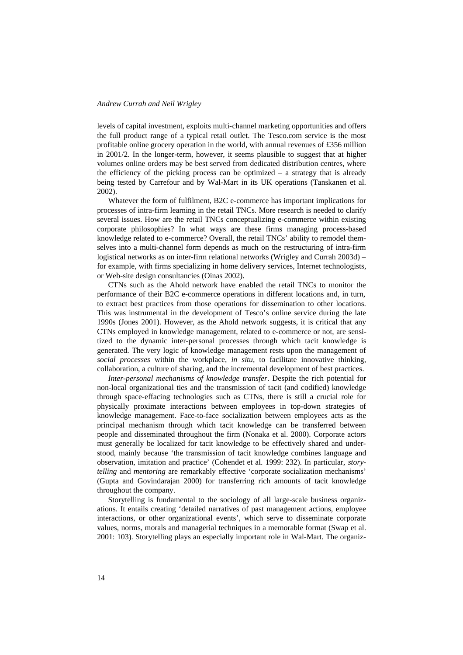levels of capital investment, exploits multi-channel marketing opportunities and offers the full product range of a typical retail outlet. The Tesco.com service is the most profitable online grocery operation in the world, with annual revenues of £356 million in 2001/2. In the longer-term, however, it seems plausible to suggest that at higher volumes online orders may be best served from dedicated distribution centres, where the efficiency of the picking process can be optimized  $-$  a strategy that is already being tested by Carrefour and by Wal-Mart in its UK operations (Tanskanen et al. 2002).

Whatever the form of fulfilment, B2C e-commerce has important implications for processes of intra-firm learning in the retail TNCs. More research is needed to clarify several issues. How are the retail TNCs conceptualizing e-commerce within existing corporate philosophies? In what ways are these firms managing process-based knowledge related to e-commerce? Overall, the retail TNCs' ability to remodel themselves into a multi-channel form depends as much on the restructuring of intra-firm logistical networks as on inter-firm relational networks (Wrigley and Currah 2003d) – for example, with firms specializing in home delivery services, Internet technologists, or Web-site design consultancies (Oinas 2002).

CTNs such as the Ahold network have enabled the retail TNCs to monitor the performance of their B2C e-commerce operations in different locations and, in turn, to extract best practices from those operations for dissemination to other locations. This was instrumental in the development of Tesco's online service during the late 1990s (Jones 2001). However, as the Ahold network suggests, it is critical that any CTNs employed in knowledge management, related to e-commerce or not, are sensitized to the dynamic inter-personal processes through which tacit knowledge is generated. The very logic of knowledge management rests upon the management of *social processes* within the workplace, *in situ*, to facilitate innovative thinking, collaboration, a culture of sharing, and the incremental development of best practices.

*Inter-personal mechanisms of knowledge transfer*. Despite the rich potential for non-local organizational ties and the transmission of tacit (and codified) knowledge through space-effacing technologies such as CTNs, there is still a crucial role for physically proximate interactions between employees in top-down strategies of knowledge management. Face-to-face socialization between employees acts as the principal mechanism through which tacit knowledge can be transferred between people and disseminated throughout the firm (Nonaka et al. 2000). Corporate actors must generally be localized for tacit knowledge to be effectively shared and understood, mainly because 'the transmission of tacit knowledge combines language and observation, imitation and practice' (Cohendet et al. 1999: 232). In particular, *storytelling* and *mentoring* are remarkably effective 'corporate socialization mechanisms' (Gupta and Govindarajan 2000) for transferring rich amounts of tacit knowledge throughout the company.

Storytelling is fundamental to the sociology of all large-scale business organizations. It entails creating 'detailed narratives of past management actions, employee interactions, or other organizational events', which serve to disseminate corporate values, norms, morals and managerial techniques in a memorable format (Swap et al. 2001: 103). Storytelling plays an especially important role in Wal-Mart. The organiz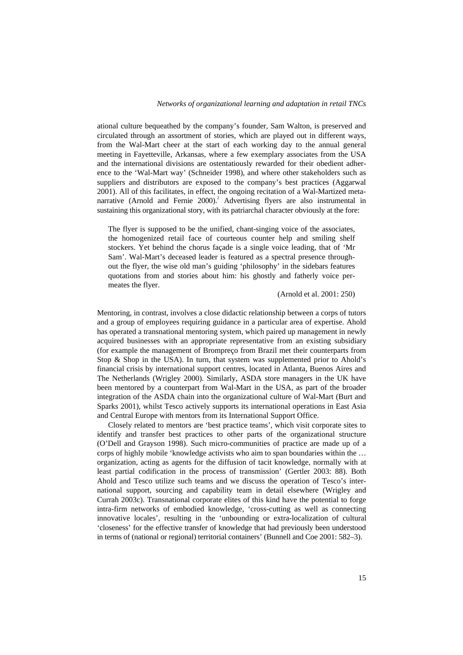ational culture bequeathed by the company's founder, Sam Walton, is preserved and circulated through an assortment of stories, which are played out in different ways, from the Wal-Mart cheer at the start of each working day to the annual general meeting in Fayetteville, Arkansas, where a few exemplary associates from the USA and the international divisions are ostentatiously rewarded for their obedient adherence to the 'Wal-Mart way' (Schneider 1998), and where other stakeholders such as suppliers and distributors are exposed to the company's best practices (Aggarwal 2001). All of this facilitates, in effect, the ongoing recitation of a Wal-Martized metanarrative (Arnold and Fernie 2000).<sup>2</sup> Advertising flyers are also instrumental in sustaining this organizational story, with its patriarchal character obviously at the fore:

The flyer is supposed to be the unified, chant-singing voice of the associates, the homogenized retail face of courteous counter help and smiling shelf stockers. Yet behind the chorus façade is a single voice leading, that of 'Mr Sam'. Wal-Mart's deceased leader is featured as a spectral presence throughout the flyer, the wise old man's guiding 'philosophy' in the sidebars features quotations from and stories about him: his ghostly and fatherly voice permeates the flyer.

(Arnold et al. 2001: 250)

Mentoring, in contrast, involves a close didactic relationship between a corps of tutors and a group of employees requiring guidance in a particular area of expertise. Ahold has operated a transnational mentoring system, which paired up management in newly acquired businesses with an appropriate representative from an existing subsidiary (for example the management of Brompreço from Brazil met their counterparts from Stop & Shop in the USA). In turn, that system was supplemented prior to Ahold's financial crisis by international support centres, located in Atlanta, Buenos Aires and The Netherlands (Wrigley 2000). Similarly, ASDA store managers in the UK have been mentored by a counterpart from Wal-Mart in the USA, as part of the broader integration of the ASDA chain into the organizational culture of Wal-Mart (Burt and Sparks 2001), whilst Tesco actively supports its international operations in East Asia and Central Europe with mentors from its International Support Office.

Closely related to mentors are 'best practice teams', which visit corporate sites to identify and transfer best practices to other parts of the organizational structure (O'Dell and Grayson 1998). Such micro-communities of practice are made up of a corps of highly mobile 'knowledge activists who aim to span boundaries within the … organization, acting as agents for the diffusion of tacit knowledge, normally with at least partial codification in the process of transmission' (Gertler 2003: 88). Both Ahold and Tesco utilize such teams and we discuss the operation of Tesco's international support, sourcing and capability team in detail elsewhere (Wrigley and Currah 2003c). Transnational corporate elites of this kind have the potential to forge intra-firm networks of embodied knowledge, 'cross-cutting as well as connecting innovative locales', resulting in the 'unbounding or extra-localization of cultural 'closeness' for the effective transfer of knowledge that had previously been understood in terms of (national or regional) territorial containers' (Bunnell and Coe 2001: 582–3).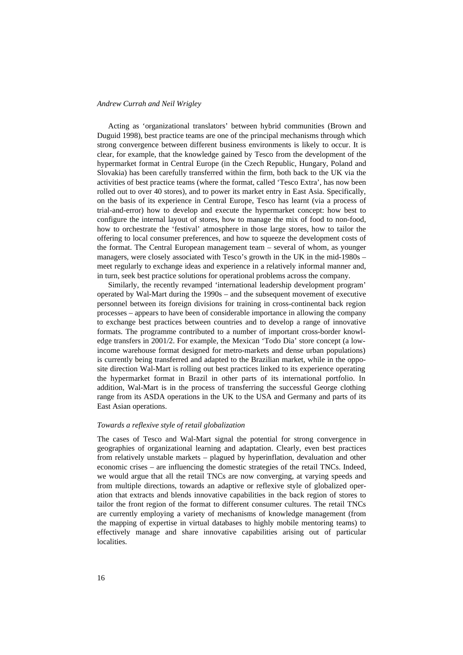Acting as 'organizational translators' between hybrid communities (Brown and Duguid 1998), best practice teams are one of the principal mechanisms through which strong convergence between different business environments is likely to occur. It is clear, for example, that the knowledge gained by Tesco from the development of the hypermarket format in Central Europe (in the Czech Republic, Hungary, Poland and Slovakia) has been carefully transferred within the firm, both back to the UK via the activities of best practice teams (where the format, called 'Tesco Extra', has now been rolled out to over 40 stores), and to power its market entry in East Asia. Specifically, on the basis of its experience in Central Europe, Tesco has learnt (via a process of trial-and-error) how to develop and execute the hypermarket concept: how best to configure the internal layout of stores, how to manage the mix of food to non-food, how to orchestrate the 'festival' atmosphere in those large stores, how to tailor the offering to local consumer preferences, and how to squeeze the development costs of the format. The Central European management team – several of whom, as younger managers, were closely associated with Tesco's growth in the UK in the mid-1980s – meet regularly to exchange ideas and experience in a relatively informal manner and, in turn, seek best practice solutions for operational problems across the company.

Similarly, the recently revamped 'international leadership development program' operated by Wal-Mart during the 1990s – and the subsequent movement of executive personnel between its foreign divisions for training in cross-continental back region processes – appears to have been of considerable importance in allowing the company to exchange best practices between countries and to develop a range of innovative formats. The programme contributed to a number of important cross-border knowledge transfers in 2001/2. For example, the Mexican 'Todo Dia' store concept (a lowincome warehouse format designed for metro-markets and dense urban populations) is currently being transferred and adapted to the Brazilian market, while in the opposite direction Wal-Mart is rolling out best practices linked to its experience operating the hypermarket format in Brazil in other parts of its international portfolio. In addition, Wal-Mart is in the process of transferring the successful George clothing range from its ASDA operations in the UK to the USA and Germany and parts of its East Asian operations.

#### *Towards a reflexive style of retail globalization*

The cases of Tesco and Wal-Mart signal the potential for strong convergence in geographies of organizational learning and adaptation. Clearly, even best practices from relatively unstable markets – plagued by hyperinflation, devaluation and other economic crises – are influencing the domestic strategies of the retail TNCs. Indeed, we would argue that all the retail TNCs are now converging, at varying speeds and from multiple directions, towards an adaptive or reflexive style of globalized operation that extracts and blends innovative capabilities in the back region of stores to tailor the front region of the format to different consumer cultures. The retail TNCs are currently employing a variety of mechanisms of knowledge management (from the mapping of expertise in virtual databases to highly mobile mentoring teams) to effectively manage and share innovative capabilities arising out of particular localities.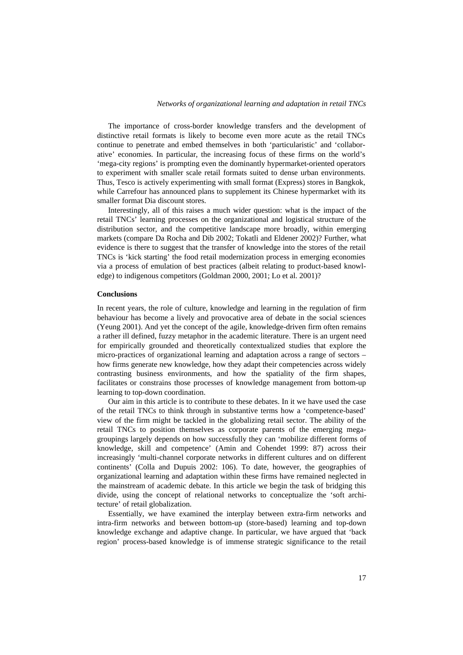The importance of cross-border knowledge transfers and the development of distinctive retail formats is likely to become even more acute as the retail TNCs continue to penetrate and embed themselves in both 'particularistic' and 'collaborative' economies. In particular, the increasing focus of these firms on the world's 'mega-city regions' is prompting even the dominantly hypermarket-oriented operators to experiment with smaller scale retail formats suited to dense urban environments. Thus, Tesco is actively experimenting with small format (Express) stores in Bangkok, while Carrefour has announced plans to supplement its Chinese hypermarket with its smaller format Dia discount stores.

Interestingly, all of this raises a much wider question: what is the impact of the retail TNCs' learning processes on the organizational and logistical structure of the distribution sector, and the competitive landscape more broadly, within emerging markets (compare Da Rocha and Dib 2002; Tokatli and Eldener 2002)? Further, what evidence is there to suggest that the transfer of knowledge into the stores of the retail TNCs is 'kick starting' the food retail modernization process in emerging economies via a process of emulation of best practices (albeit relating to product-based knowledge) to indigenous competitors (Goldman 2000, 2001; Lo et al. 2001)?

# **Conclusions**

In recent years, the role of culture, knowledge and learning in the regulation of firm behaviour has become a lively and provocative area of debate in the social sciences (Yeung 2001). And yet the concept of the agile, knowledge-driven firm often remains a rather ill defined, fuzzy metaphor in the academic literature. There is an urgent need for empirically grounded and theoretically contextualized studies that explore the micro-practices of organizational learning and adaptation across a range of sectors – how firms generate new knowledge, how they adapt their competencies across widely contrasting business environments, and how the spatiality of the firm shapes, facilitates or constrains those processes of knowledge management from bottom-up learning to top-down coordination.

Our aim in this article is to contribute to these debates. In it we have used the case of the retail TNCs to think through in substantive terms how a 'competence-based' view of the firm might be tackled in the globalizing retail sector. The ability of the retail TNCs to position themselves as corporate parents of the emerging megagroupings largely depends on how successfully they can 'mobilize different forms of knowledge, skill and competence' (Amin and Cohendet 1999: 87) across their increasingly 'multi-channel corporate networks in different cultures and on different continents' (Colla and Dupuis 2002: 106). To date, however, the geographies of organizational learning and adaptation within these firms have remained neglected in the mainstream of academic debate. In this article we begin the task of bridging this divide, using the concept of relational networks to conceptualize the 'soft architecture' of retail globalization.

Essentially, we have examined the interplay between extra-firm networks and intra-firm networks and between bottom-up (store-based) learning and top-down knowledge exchange and adaptive change. In particular, we have argued that 'back region' process-based knowledge is of immense strategic significance to the retail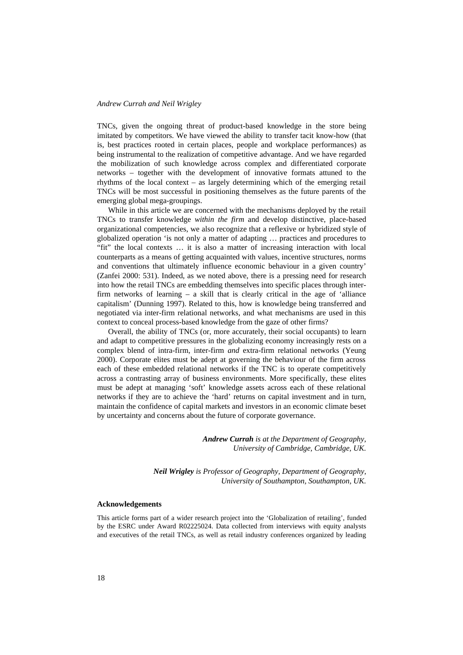TNCs, given the ongoing threat of product-based knowledge in the store being imitated by competitors. We have viewed the ability to transfer tacit know-how (that is, best practices rooted in certain places, people and workplace performances) as being instrumental to the realization of competitive advantage. And we have regarded the mobilization of such knowledge across complex and differentiated corporate networks – together with the development of innovative formats attuned to the rhythms of the local context – as largely determining which of the emerging retail TNCs will be most successful in positioning themselves as the future parents of the emerging global mega-groupings.

While in this article we are concerned with the mechanisms deployed by the retail TNCs to transfer knowledge *within the firm* and develop distinctive, place-based organizational competencies, we also recognize that a reflexive or hybridized style of globalized operation 'is not only a matter of adapting … practices and procedures to "fit" the local contexts … it is also a matter of increasing interaction with local counterparts as a means of getting acquainted with values, incentive structures, norms and conventions that ultimately influence economic behaviour in a given country' (Zanfei 2000: 531). Indeed, as we noted above, there is a pressing need for research into how the retail TNCs are embedding themselves into specific places through interfirm networks of learning – a skill that is clearly critical in the age of 'alliance capitalism' (Dunning 1997). Related to this, how is knowledge being transferred and negotiated via inter-firm relational networks, and what mechanisms are used in this context to conceal process-based knowledge from the gaze of other firms?

Overall, the ability of TNCs (or, more accurately, their social occupants) to learn and adapt to competitive pressures in the globalizing economy increasingly rests on a complex blend of intra-firm, inter-firm *and* extra-firm relational networks (Yeung 2000). Corporate elites must be adept at governing the behaviour of the firm across each of these embedded relational networks if the TNC is to operate competitively across a contrasting array of business environments. More specifically, these elites must be adept at managing 'soft' knowledge assets across each of these relational networks if they are to achieve the 'hard' returns on capital investment and in turn, maintain the confidence of capital markets and investors in an economic climate beset by uncertainty and concerns about the future of corporate governance.

> *Andrew Currah is at the Department of Geography, University of Cambridge, Cambridge, UK.*

*Neil Wrigley is Professor of Geography, Department of Geography, University of Southampton, Southampton, UK.* 

## **Acknowledgements**

This article forms part of a wider research project into the 'Globalization of retailing', funded by the ESRC under Award R02225024. Data collected from interviews with equity analysts and executives of the retail TNCs, as well as retail industry conferences organized by leading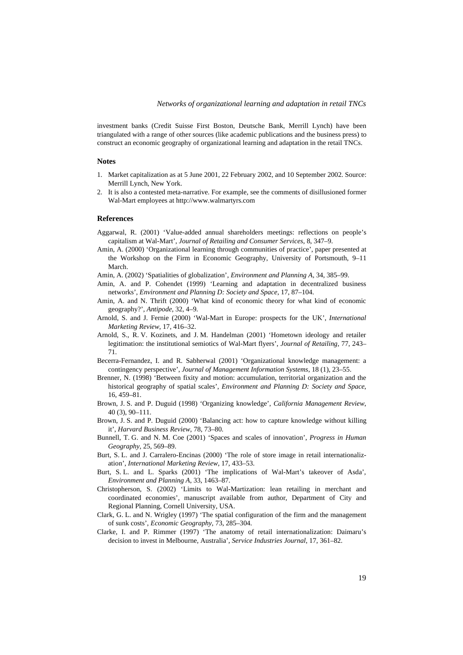investment banks (Credit Suisse First Boston, Deutsche Bank, Merrill Lynch) have been triangulated with a range of other sources (like academic publications and the business press) to construct an economic geography of organizational learning and adaptation in the retail TNCs.

#### **Notes**

- 1. Market capitalization as at 5 June 2001, 22 February 2002, and 10 September 2002. Source: Merrill Lynch, New York.
- 2. It is also a contested meta-narrative. For example, see the comments of disillusioned former Wal-Mart employees at http://www.walmartyrs.com

#### **References**

- Aggarwal, R. (2001) 'Value-added annual shareholders meetings: reflections on people's capitalism at Wal-Mart', *Journal of Retailing and Consumer Services*, 8, 347–9.
- Amin, A. (2000) 'Organizational learning through communities of practice', paper presented at the Workshop on the Firm in Economic Geography, University of Portsmouth, 9–11 March.
- Amin, A. (2002) 'Spatialities of globalization', *Environment and Planning A*, 34, 385–99.
- Amin, A. and P. Cohendet (1999) 'Learning and adaptation in decentralized business networks', *Environment and Planning D: Society and Space*, 17, 87–104.
- Amin, A. and N. Thrift (2000) 'What kind of economic theory for what kind of economic geography?', *Antipode*, 32, 4–9.
- Arnold, S. and J. Fernie (2000) 'Wal-Mart in Europe: prospects for the UK', *International Marketing Review*, 17, 416–32.
- Arnold, S., R. V. Kozinets, and J. M. Handelman (2001) 'Hometown ideology and retailer legitimation: the institutional semiotics of Wal-Mart flyers', *Journal of Retailing*, 77, 243– 71.
- Becerra-Fernandez, I. and R. Sabherwal (2001) 'Organizational knowledge management: a contingency perspective', *Journal of Management Information Systems*, 18 (1), 23–55.
- Brenner, N. (1998) 'Between fixity and motion: accumulation, territorial organization and the historical geography of spatial scales', *Environment and Planning D: Society and Space*, 16, 459–81.
- Brown, J. S. and P. Duguid (1998) 'Organizing knowledge', *California Management Review*, 40 (3), 90–111.
- Brown, J. S. and P. Duguid (2000) 'Balancing act: how to capture knowledge without killing it', *Harvard Business Review*, 78, 73–80.
- Bunnell, T. G. and N. M. Coe (2001) 'Spaces and scales of innovation', *Progress in Human Geography*, 25, 569–89.
- Burt, S. L. and J. Carralero-Encinas (2000) 'The role of store image in retail internationalization', *International Marketing Review*, 17, 433–53.
- Burt, S. L. and L. Sparks (2001) 'The implications of Wal-Mart's takeover of Asda', *Environment and Planning A*, 33, 1463–87.
- Christopherson, S. (2002) 'Limits to Wal-Martization: lean retailing in merchant and coordinated economies', manuscript available from author, Department of City and Regional Planning, Cornell University, USA.
- Clark, G. L. and N. Wrigley (1997) 'The spatial configuration of the firm and the management of sunk costs', *Economic Geography*, 73, 285–304.
- Clarke, I. and P. Rimmer (1997) 'The anatomy of retail internationalization: Daimaru's decision to invest in Melbourne, Australia', *Service Industries Journal*, 17, 361–82.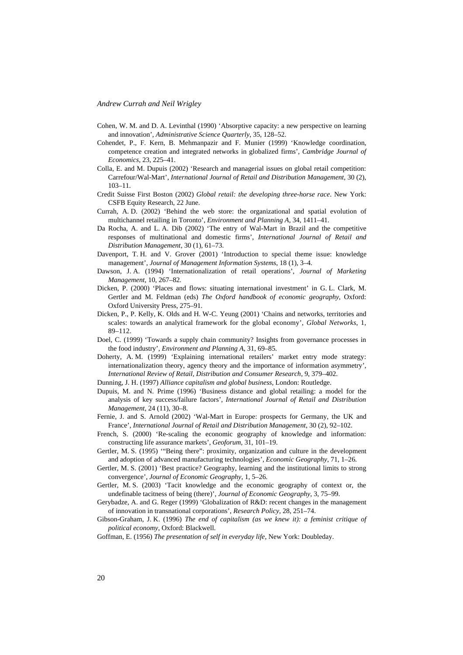- Cohen, W. M. and D. A. Levinthal (1990) 'Absorptive capacity: a new perspective on learning and innovation', *Administrative Science Quarterly*, 35, 128–52.
- Cohendet, P., F. Kern, B. Mehmanpazir and F. Munier (1999) 'Knowledge coordination, competence creation and integrated networks in globalized firms', *Cambridge Journal of Economics*, 23, 225–41.
- Colla, E. and M. Dupuis (2002) 'Research and managerial issues on global retail competition: Carrefour/Wal-Mart', *International Journal of Retail and Distribution Management*, 30 (2), 103–11.
- Credit Suisse First Boston (2002) *Global retail: the developing three-horse race*. New York: CSFB Equity Research, 22 June.
- Currah, A. D. (2002) 'Behind the web store: the organizational and spatial evolution of multichannel retailing in Toronto', *Environment and Planning A*, 34, 1411–41.
- Da Rocha, A. and L. A. Dib (2002) 'The entry of Wal-Mart in Brazil and the competitive responses of multinational and domestic firms', *International Journal of Retail and Distribution Management*, 30 (1), 61–73.
- Davenport, T. H. and V. Grover (2001) 'Introduction to special theme issue: knowledge management', *Journal of Management Information Systems*, 18 (1), 3–4.
- Dawson, J. A. (1994) 'Internationalization of retail operations', *Journal of Marketing Management*, 10, 267–82.
- Dicken, P. (2000) 'Places and flows: situating international investment' in G. L. Clark, M. Gertler and M. Feldman (eds) *The Oxford handbook of economic geography*, Oxford: Oxford University Press, 275–91.
- Dicken, P., P. Kelly, K. Olds and H. W-C. Yeung (2001) 'Chains and networks, territories and scales: towards an analytical framework for the global economy', *Global Networks*, 1, 89–112.
- Doel, C. (1999) 'Towards a supply chain community? Insights from governance processes in the food industry', *Environment and Planning A*, 31, 69–85.
- Doherty, A. M. (1999) 'Explaining international retailers' market entry mode strategy: internationalization theory, agency theory and the importance of information asymmetry', *International Review of Retail, Distribution and Consumer Research*, 9, 379–402.
- Dunning, J. H. (1997) *Alliance capitalism and global business*, London: Routledge.
- Dupuis, M. and N. Prime (1996) 'Business distance and global retailing: a model for the analysis of key success/failure factors', *International Journal of Retail and Distribution Management*, 24 (11), 30–8.
- Fernie, J. and S. Arnold (2002) 'Wal-Mart in Europe: prospects for Germany, the UK and France', *International Journal of Retail and Distribution Management*, 30 (2), 92–102.
- French, S. (2000) 'Re-scaling the economic geography of knowledge and information: constructing life assurance markets', *Geoforum*, 31, 101–19.
- Gertler, M. S. (1995) '"Being there": proximity, organization and culture in the development and adoption of advanced manufacturing technologies', *Economic Geography*, 71, 1–26.
- Gertler, M. S. (2001) 'Best practice? Geography, learning and the institutional limits to strong convergence', *Journal of Economic Geography*, 1, 5–26.
- Gertler, M. S. (2003) 'Tacit knowledge and the economic geography of context or, the undefinable tacitness of being (there)', *Journal of Economic Geography*, 3, 75–99.
- Gerybadze, A. and G. Reger (1999) 'Globalization of R&D: recent changes in the management of innovation in transnational corporations', *Research Policy,* 28, 251–74.
- Gibson-Graham, J. K. (1996) *The end of capitalism (as we knew it): a feminist critique of political economy*, Oxford: Blackwell.
- Goffman, E. (1956) *The presentation of self in everyday life*, New York: Doubleday.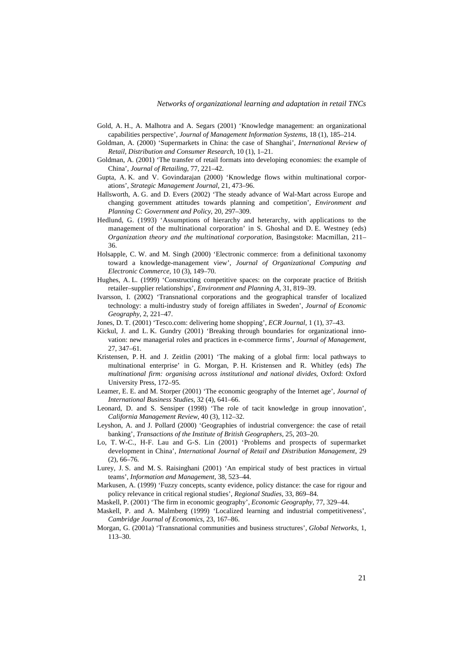- Gold, A. H., A. Malhotra and A. Segars (2001) 'Knowledge management: an organizational capabilities perspective', *Journal of Management Information Systems*, 18 (1), 185–214.
- Goldman, A. (2000) 'Supermarkets in China: the case of Shanghai', *International Review of Retail, Distribution and Consumer Research*, 10 (1), 1–21.
- Goldman, A. (2001) 'The transfer of retail formats into developing economies: the example of China', *Journal of Retailing*, 77, 221–42.
- Gupta, A. K. and V. Govindarajan (2000) 'Knowledge flows within multinational corporations', *Strategic Management Journal*, 21, 473–96.
- Hallsworth, A. G. and D. Evers (2002) 'The steady advance of Wal-Mart across Europe and changing government attitudes towards planning and competition', *Environment and Planning C: Government and Policy*, 20, 297–309.
- Hedlund, G. (1993) 'Assumptions of hierarchy and heterarchy, with applications to the management of the multinational corporation' in S. Ghoshal and D. E. Westney (eds) *Organization theory and the multinational corporation*, Basingstoke: Macmillan, 211– 36.
- Holsapple, C. W. and M. Singh (2000) 'Electronic commerce: from a definitional taxonomy toward a knowledge-management view', *Journal of Organizational Computing and Electronic Commerce*, 10 (3), 149–70.
- Hughes, A. L. (1999) 'Constructing competitive spaces: on the corporate practice of British retailer–supplier relationships', *Environment and Planning A*, 31, 819–39.
- Ivarsson, I. (2002) 'Transnational corporations and the geographical transfer of localized technology: a multi-industry study of foreign affiliates in Sweden', *Journal of Economic Geography*, 2, 221–47.
- Jones, D. T. (2001) 'Tesco.com: delivering home shopping', *ECR Journal*, 1 (1), 37–43.
- Kickul, J. and L. K. Gundry (2001) 'Breaking through boundaries for organizational innovation: new managerial roles and practices in e-commerce firms', *Journal of Management*, 27, 347–61.
- Kristensen, P. H. and J. Zeitlin (2001) 'The making of a global firm: local pathways to multinational enterprise' in G. Morgan, P. H. Kristensen and R. Whitley (eds) *The multinational firm: organising across institutional and national divides*, Oxford: Oxford University Press, 172–95.
- Leamer, E. E. and M. Storper (2001) 'The economic geography of the Internet age', *Journal of International Business Studies*, 32 (4), 641–66.
- Leonard, D. and S. Sensiper (1998) 'The role of tacit knowledge in group innovation', *California Management Review*, 40 (3), 112–32.
- Leyshon, A. and J. Pollard (2000) 'Geographies of industrial convergence: the case of retail banking', *Transactions of the Institute of British Geographers*, 25, 203–20.
- Lo, T. W-C., H-F. Lau and G-S. Lin (2001) 'Problems and prospects of supermarket development in China', *International Journal of Retail and Distribution Management*, 29 (2), 66–76.
- Lurey, J. S. and M. S. Raisinghani (2001) 'An empirical study of best practices in virtual teams', *Information and Management*, 38, 523–44.
- Markusen, A. (1999) 'Fuzzy concepts, scanty evidence, policy distance: the case for rigour and policy relevance in critical regional studies', *Regional Studies*, 33, 869–84.
- Maskell, P. (2001) 'The firm in economic geography', *Economic Geography*, 77, 329–44.
- Maskell, P. and A. Malmberg (1999) 'Localized learning and industrial competitiveness', *Cambridge Journal of Economics*, 23, 167–86.
- Morgan, G. (2001a) 'Transnational communities and business structures', *Global Networks*, 1, 113–30.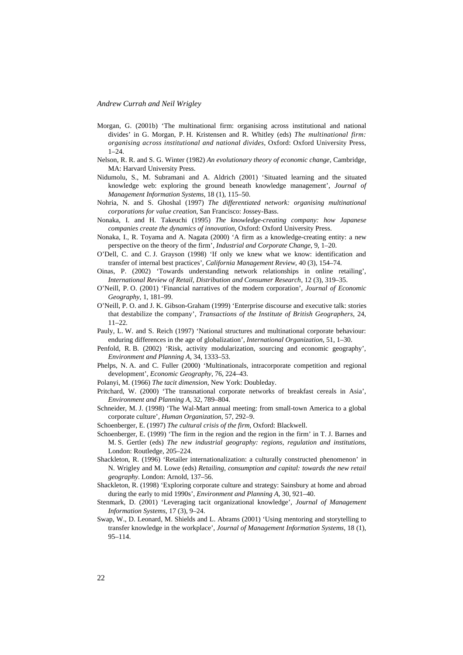- Morgan, G. (2001b) 'The multinational firm: organising across institutional and national divides' in G. Morgan, P. H. Kristensen and R. Whitley (eds) *The multinational firm: organising across institutional and national divides*, Oxford: Oxford University Press, 1–24.
- Nelson, R. R. and S. G. Winter (1982) *An evolutionary theory of economic change*, Cambridge, MA: Harvard University Press.
- Nidumolu, S., M. Subramani and A. Aldrich (2001) 'Situated learning and the situated knowledge web: exploring the ground beneath knowledge management', *Journal of Management Information Systems*, 18 (1), 115–50.
- Nohria, N. and S. Ghoshal (1997) *The differentiated network: organising multinational corporations for value creation*, San Francisco: Jossey-Bass.
- Nonaka, I. and H. Takeuchi (1995) *The knowledge-creating company: how Japanese companies create the dynamics of innovation*, Oxford: Oxford University Press.
- Nonaka, I., R. Toyama and A. Nagata (2000) 'A firm as a knowledge-creating entity: a new perspective on the theory of the firm', *Industrial and Corporate Change*, 9, 1–20.
- O'Dell, C. and C. J. Grayson (1998) 'If only we knew what we know: identification and transfer of internal best practices', *California Management Review*, 40 (3), 154–74.
- Oinas, P. (2002) 'Towards understanding network relationships in online retailing', *International Review of Retail, Distribution and Consumer Research*, 12 (3), 319–35.
- O'Neill, P. O. (2001) 'Financial narratives of the modern corporation', *Journal of Economic Geography*, 1, 181–99.
- O'Neill, P. O. and J. K. Gibson-Graham (1999) 'Enterprise discourse and executive talk: stories that destabilize the company', *Transactions of the Institute of British Geographers*, 24, 11–22.
- Pauly, L. W. and S. Reich (1997) 'National structures and multinational corporate behaviour: enduring differences in the age of globalization', *International Organization*, 51, 1–30.
- Penfold, R. B. (2002) 'Risk, activity modularization, sourcing and economic geography', *Environment and Planning A*, 34, 1333–53.
- Phelps, N. A. and C. Fuller (2000) 'Multinationals, intracorporate competition and regional development', *Economic Geography*, 76, 224–43.
- Polanyi, M. (1966) *The tacit dimension*, New York: Doubleday.
- Pritchard, W. (2000) 'The transnational corporate networks of breakfast cereals in Asia', *Environment and Planning A*, 32, 789–804.
- Schneider, M. J. (1998) 'The Wal-Mart annual meeting: from small-town America to a global corporate culture', *Human Organization*, 57, 292–9.
- Schoenberger, E. (1997) *The cultural crisis of the firm*, Oxford: Blackwell.
- Schoenberger, E. (1999) 'The firm in the region and the region in the firm' in T. J. Barnes and M. S. Gertler (eds) *The new industrial geography: regions, regulation and institutions*, London: Routledge, 205–224.
- Shackleton, R. (1996) 'Retailer internationalization: a culturally constructed phenomenon' in N. Wrigley and M. Lowe (eds) *Retailing, consumption and capital: towards the new retail geography*. London: Arnold, 137–56.
- Shackleton, R. (1998) 'Exploring corporate culture and strategy: Sainsbury at home and abroad during the early to mid 1990s', *Environment and Planning A*, 30, 921–40.
- Stenmark, D. (2001) 'Leveraging tacit organizational knowledge', *Journal of Management Information Systems*, 17 (3), 9–24.
- Swap, W., D. Leonard, M. Shields and L. Abrams (2001) 'Using mentoring and storytelling to transfer knowledge in the workplace', *Journal of Management Information Systems*, 18 (1), 95–114.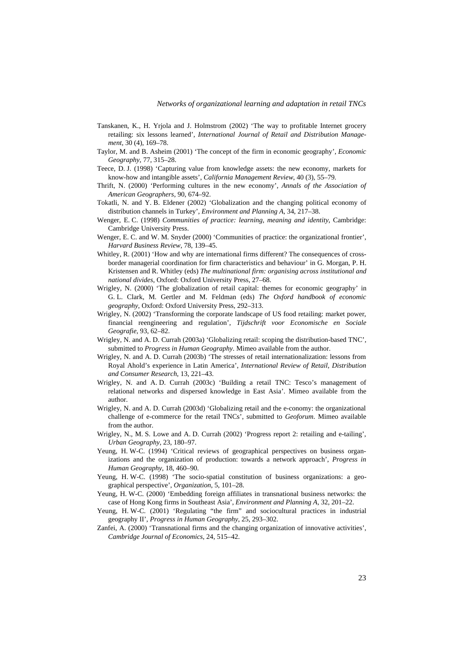- Tanskanen, K., H. Yrjola and J. Holmstrom (2002) 'The way to profitable Internet grocery retailing: six lessons learned', *International Journal of Retail and Distribution Management*, 30 (4), 169–78.
- Taylor, M. and B. Asheim (2001) 'The concept of the firm in economic geography', *Economic Geography*, 77, 315–28.
- Teece, D. J. (1998) 'Capturing value from knowledge assets: the new economy, markets for know-how and intangible assets', *California Management Review*, 40 (3), 55–79.
- Thrift, N. (2000) 'Performing cultures in the new economy', *Annals of the Association of American Geographers*, 90, 674–92.
- Tokatli, N. and Y. B. Eldener (2002) 'Globalization and the changing political economy of distribution channels in Turkey', *Environment and Planning A*, 34, 217–38.
- Wenger, E. C. (1998) *Communities of practice: learning, meaning and identity*, Cambridge: Cambridge University Press.
- Wenger, E. C. and W. M. Snyder (2000) 'Communities of practice: the organizational frontier', *Harvard Business Review*, 78, 139–45.
- Whitley, R. (2001) 'How and why are international firms different? The consequences of crossborder managerial coordination for firm characteristics and behaviour' in G. Morgan, P. H. Kristensen and R. Whitley (eds) *The multinational firm: organising across institutional and national divides*, Oxford: Oxford University Press, 27–68.
- Wrigley, N. (2000) 'The globalization of retail capital: themes for economic geography' in G. L. Clark, M. Gertler and M. Feldman (eds) *The Oxford handbook of economic geography*, Oxford: Oxford University Press, 292–313.
- Wrigley, N. (2002) 'Transforming the corporate landscape of US food retailing: market power, financial reengineering and regulation', *Tijdschrift voor Economische en Sociale Geografie*, 93, 62–82.
- Wrigley, N. and A. D. Currah (2003a) 'Globalizing retail: scoping the distribution-based TNC', submitted to *Progress in Human Geography*. Mimeo available from the author.
- Wrigley, N. and A. D. Currah (2003b) 'The stresses of retail internationalization: lessons from Royal Ahold's experience in Latin America', *International Review of Retail, Distribution and Consumer Research*, 13, 221–43.
- Wrigley, N. and A. D. Currah (2003c) 'Building a retail TNC: Tesco's management of relational networks and dispersed knowledge in East Asia'. Mimeo available from the author.
- Wrigley, N. and A. D. Currah (2003d) 'Globalizing retail and the e-conomy: the organizational challenge of e-commerce for the retail TNCs', submitted to *Geoforum*. Mimeo available from the author.
- Wrigley, N., M. S. Lowe and A. D. Currah (2002) 'Progress report 2: retailing and e-tailing', *Urban Geography*, 23, 180–97.
- Yeung, H. W-C. (1994) 'Critical reviews of geographical perspectives on business organizations and the organization of production: towards a network approach', *Progress in Human Geography*, 18, 460–90.
- Yeung, H. W-C. (1998) 'The socio-spatial constitution of business organizations: a geographical perspective', *Organization*, 5, 101–28.
- Yeung, H. W-C. (2000) 'Embedding foreign affiliates in transnational business networks: the case of Hong Kong firms in Southeast Asia', *Environment and Planning A*, 32, 201–22.
- Yeung, H. W-C. (2001) 'Regulating "the firm" and sociocultural practices in industrial geography II', *Progress in Human Geography*, 25, 293–302.
- Zanfei, A. (2000) 'Transnational firms and the changing organization of innovative activities', *Cambridge Journal of Economics*, 24, 515–42.